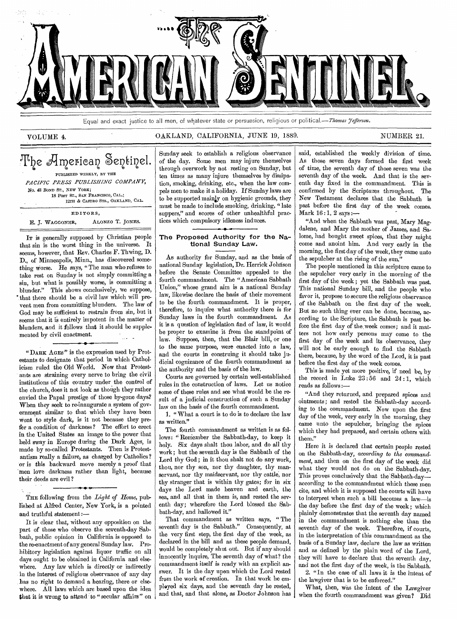

Equal and exact justice to all men, of whatever state or persuasion, religious or political.—Thomas Jefferson.

### VOLUME 4. CAKLAND, CALIFORNIA, JUNE 19, 1889. NUMBER 21.

## T $\Phi$ e American Sentinel. PUBLISHED WEEKLY, BY THE *PACIFIC PRESS PUBLISHING COMPANY, No. 43* BOND ST., NEW YORK; 18 POST ST., SAN FRANCISCO, CAL.; 12TH dr CASTRO STS., OAKLAND, CAL. EDITORS, E. J. WAGGONER, ALONZO T. JONES.

IT is generally supposed by Christian people that sin is the worst thing in the universe. It seems, however, that Rev. Charles F. Thwing, D. D., of Minneapolis, Minn., has discovered something worse. He says, " The man who refuses to take rest on Sunday is not simply committing a sin, but what is possibly worse, is committing a blunder." This shows conclusively, we suppose, that there should be a civil law which will prevent men from committing blunders. The law of God may be sufficient to restrain from sin, but it seems that it is entirely impotent in the matter of blunders, and it follows that it should be supplemented by civil enactment.

"DARK AGES" is the expression used by Protestants to designate that period in which Catholicism ruled the Old World. Now that Protestants are straining every nerve to bring the civil institutions of this country under the control of the church, does it not look as though they rather envied the Papal prestige of those by-gone days? When they seek to re-inaugurate a system of government similar to that which they have been wont to style dark, is it not because they prefer a condition of darkness ? The effort to erect in the United States an image to the power that held sway in Europe during the Dark Ages, is made by so-called Protestants. Then is Protestantism really a failure, as charged by Catholics ? or is this backward move merely a proof that men love darkness rather than light, because their deeds are evil?

THE following from the *Light of Home,* published at Alfred Center, New York, is a pointed and truthful statement :—

It is clear that, without any opposition on the part of those who observe the seventh-day Sabbath, public opinion in California is opposed to the re-enactment of any general Sunday law. Prohibitory legislation against liquor traffic on all days ought to be obtained in California and elsewhere. Any law which is directly or indirectly in the interest of religious observance of any day has no right to demand a hearing, there or elsewhere. All laws which are based upon the idea that it is wrong to attend to "secular affairs" on Sunday seek to establish a religious observance of the day. Some men may injure themselves through overwork by not resting on Sunday, but ten times as many injure themselves by dissipation, smoking, drinking, etc., when the law compels men to make it a holiday. If Sunday laws are to be supported mainly on hygienic grounds, they must be made to include smoking, drinking, "late suppers," and scores of other unhealthful practices which compulsory idleness induces.

### The Proposed Authority for the National Sunday Law.

As authority for Sunday, and as the' basis of national Sunday legislation, Dr. Herrick Johnson before the Senate Committee appealed to the fourth commandment. The "American Sabbath Union," whose grand aim is a national Sunday law, likewise declare the basis of their movement to be the fourth commandment. It is proper, therefore, to inquire what authority there is for Sunday laws in the fourth commandment. As it is a question of legislation And of law, it would be proper to examine it from the standpoint of law. Suppose, then, that the Blair bill, or one to the same purpose, were enacted into a law, and the courts in construing it should take judicial cognizance of the fourth commandment as the authority and the basis of the law.

Courts are governed by certain well-established rules in the construction of laws. Let us notice some of these rules and *see* what would be the result of a judicial construction of such a Sunday law on the basis of the fourth commandment.

1. "What a court is to do is to declare the law as written."

The fourth commandment as written is as follows: " Reniember the Sabbath-day, to keep it holy. Six days shalt thou labor, and do all thy work ; but the seventh day is the Sabbath of the Lord thy God; in it thou shalt not do any work, thou, nor thy son, nor thy daughter, thy manservant, nor thy maidservant, nor thy cattle, nor thy stranger that is within thy gates; for in six days the Lord made heaven and earth, the sea, and all that in them is, and rested the seventh day; wherefore the Lord blessed the Sabbath-day, and hallowed it."

That commandment as written says, " The seventh day is the Sabbath." Consequently, at the very first step, the first day of the week, as declared in the bill and as these people demand, would be completely shut out. But if any should innocently inquire, The seventh day of what? the commandment itself is ready with an explicit answer. It is the day upon which the Lord rested from the work of creation. In that work he employed six days, and the seventh day he rested, and that, and that alone, as Doctor Johnson has

said, established the weekly division of time. As those seven days formed the first week of time, the seventh day of those seven was the seventh day of the week. And that is the seventh day fixed in the commandment. This is confirmed by the Scriptures throughout. The New Testament declares that the Sabbath is past before the first day of the week comes.  $Mark 16:1, 2$  says :-

"And when the Sabbath was past, Mary Magdalene, and Mary the mother of James, and Salome, had bought sweet spices, that they might come and anoint him. And very early in the morning, the first day of the week, they came unto the sepulcher at the rising of the sun."

The people mentioned in this scripture came to the sepulcher very early in the morning of the first day of the week ; yet the Sabbath was past. This national Sunday bill, and the people who favor it, propose to secure the religious observance of the Sabbath on the first day of the week. But no such thing ever can be done, because, according to the Scripture, the Sabbath is past before the first day of the, week comes; and it matters not how early persons may come to the first day of the week and its observance, they will not be early enough to find the Sabbath there, because, by the word of the Lord, it is past before the first day of the week comes.

This is made yet more positive, if need be, by the record in Luke  $23:56$  and  $24:1$ , which reads as follows :—

"And they returned, and prepared spices and ointments; and rested the Sabbath-day according to the commandment. Now upon the first day of the week, very early in the morning, they came unto the sepulcher, bringing the spices which they had prepared, and certain others with them."

Here it is declared that certain people rested on the Sabbath-day, *according to the commandment,* and then on the first day of the week did what they would not do on the Sabbath-day. This proves conclusively that the Sabbath-dayaccording to the commandment which these men cite, and which it is supposed the courts will have to interpret when such a bill becomes a law—is the day before the first day of the week ; which plainly demonstrates that the seventh day named in the commandment is nothing else than the seventh day of the week. Therefore, if courts, in the interpretation of this commandment as the basis of a Sunday law, declare the law as written and as defined by the plain word of the Lord, they will have to declare that the seventh day, and not the first day of the week, is the Sabbath.

2. "In the case of all laws it is the intent of the lawgiver that is to be enforced."

What, then, was the intent of the Lawgiver when the fourth commandment was given? Did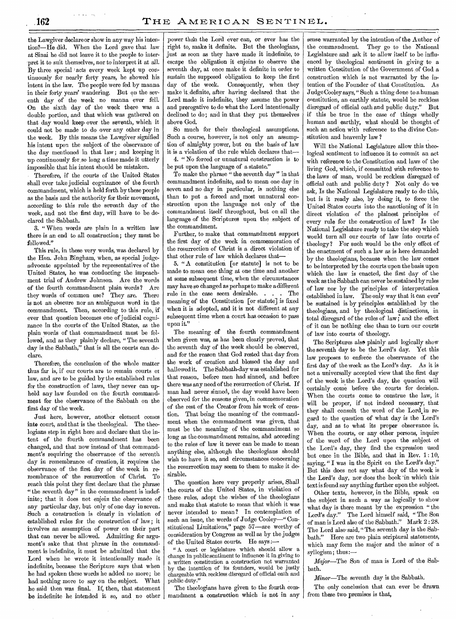the Lawgiver declare or show in any way his intention?—He did. When the Lord gave that law at Sinai he did not leave it to the people to interpret it to suit themselves, nor to interpret it at all. By three special 'acts every week kept up continuously for nearly forty years, he showed his intent in the law. The people were fed by manna in their forty years' wandering. But on the seventh day of the week no manna ever fell. On the sixth day of the week there was a double portion, and that which was gathered on that day would keep over the seventh, which it could not be made to do over any other day in the week. By this means the Lawgiver signified his intent upon the subject of the observance of the day mentioned in that law; and keeping it up continuously for so long a time made it utterly impossible that his intent should be mistaken.

Therefore, if the courts of the United States shall ever take judicial cognizance of the fourth commandment, which is held forth by these people as the basis and the authority for their movement, according to this rule the seventh day of the week, and not the first day, will have to be declared the Sabbath.

3. " When words are plain in a written law there is an end to all construction; they must be followed."

This rule, in these very words, was declared by the Hon. John Bingham, when, as special judgeadvocate appointed by the representatives of the United States, he was conducting the impeachment trial of Andrew Johnson. Are the words of the fourth commandment plain words? Are they words of common use? They are. There is not an obscure nor an ambiguous word in the commandment. Then, according to this rule, if ever that question becomes one of judicial cognizance in the courts of the United States, as the plain words of that commandment must be followed, and as they plainly declare, "The seventh day is the Sabbath," that is all the courts can declare.

Therefore, the conclusion of the whole matter thus far is, if our courts are to remain courts or law, and are to be guided by the established rules for the construction of laws, they never can uphold any law founded on the fourth commandment for the observance of the Sabbath on the first day of the week.

Just here, however, another element comes into court, and that is the theological. The theologians step in right here and declare that the intent of the fourth commandment has been changed, and that now instead of that commandment's requiring the observance of the seventh day in remembrance of creation, it requires the observance of the first day of the week in remembrance of the resurrection of Christ. To reach this point they first declare that the phrase "the seventh day" in the commandment is indefinite; that it does not enjoin the observance of any particular day, but only of one day in seven. Such a construction is clearly in violation of established rules for the construction of law ; it involves an assumption of power on their part that can never be allowed. Admitting for argument's sake that that phrase in the commandment is indefinite, it must be admitted that the Lord when he wrote it intentionally made it indefinite, because the Scripture says that when he had spoken these words he added no more; he had nothing more to say on the subject. What he said then was final. If, then, that statement be indefinite he intended it so, and no other

power than the Lord ever can, or ever has the right to, make it definite. But the theologians, just as soon as they have made it indefinite, to escape the obligation it enjoins to observe the seventh day, at once make it definite in order to sustain the supposed obligation to keep the first day of the week. Consequently, when they make it definite, after having declared that the Lord made it indefinite, they assume the power and prerogative to do what the Lord intentionally declined to do; and in that they put themselves above God.

So much for their theological assumptions. Such a course, however, is not only an assumption of almighty power, but on the basis of law it is a violation of the rule which declares that-

4. " No forced or unnatural construction is to be put upon the language of a statute."

To make the phrase " the seventh day" in that commandment indefinite, and to mean one day in seven and no day in particular, is nothing else than to put a forced and most unnatural construction upon the language not only of the commandment itself throughout, but on all the language of the Scriptures upon the subject of the commandment.

Further, to make that commandment support the first day of the week in commemoration of the resurrection of Christ is a direct violation of that other rule of law which declares that-

5. " A constitution [or statute] is not to be made to mean one thing at one time and another at some subsequent time, when the circumstances may have so changed as perhaps to make a different rule in the case seem desirable. . . . The meaning of the Constitution [or statute] is fixed when it is adopted, and it is not different at any subsequent time when a court has occasion to pass upon it."

The meaning of the fourth commandment when given was, as has been clearly proved, that the seventh day of the week should be observed, and for the reason that God rested that day from the work of creation and blessed the day and hallowed it. The Sabbath-day was established for that reason, before men had sinned, and before there was any need of the resurrection of Christ. If man had never sinned, the day would have been observed for the reasons given, in commemoration of the rest of the Creator from his work of creation. That being the meaning of the commandment when the commandment was given, that must be the meaning of the commandment so long as the commandment remains, and according to the rules of law it never can be made to mean anything else, although the theologians should wish to have it so, and circumstances concerning the resurrection may seem to them to make it desirable.

The question here very properly arises, Shall the courts of the United States, in violation of these rules, adopt the wishes of the theologians and make that statute to mean that which it was never intended to mean? In contemplation of such an issue, the words of Judge Cooley—" Constitutional Limitations," page 57—are worthy of consideration by Congress as well as by the judges of the United States courts. He says :—

" A court or legislature which should allow a change in public sentiment to influence it in giving to a written constitution a construction not warranted by the intention of its founders, would be justly chargeable with reckless disregard of official oath and public duty."

The theologians have given to the fourth commandment a construction which is not in any

sense warranted by the intention of the Author of the commandment. They go to the National Legislature and ask it to allow itself to be influenced by theological sentiment in giving to a written Constitution of the Government of God a construction which is not warranted by the intention of the Founder of that Constitution. As Judge Cooley says," Such a thing done to a human constitution, an earthly statute, would be reckless disregard of official oath and public duty." But if this be true in the case of things wholly human and earthly, what should be thought of such an action with reference to the divine Constitution and heavenly law ?

Will the National Legislature allow this theological sentiment to influence it to commit an act with reference to the Constitution and laws of the living God, which, if committed with reference to the laws of man, would be reckless disregard of official oath and public duty ? Not only do we ask, Is the National Legislature ready to do this, but is it ready also, by doing it, to force the United States courts into the sanctioning of it in direct violation of the plainest principles of every rule for the construction of law? Is the National Legislature ready to take the step which would turn all our courts of law into courts of theology? For such would be the only effect of the enactment of such a law as is here demanded by the theologians, because when the law comes to be interpreted by the courts upon the basis upon which the law is enacted, the first day of the week as the Sabbath can never be sustained by rules of law nor by the principles of interpretation established in law. The only way that it can ever' be sustained is by principles established by the theologians, and by theological distinctions, in total disregard of the rules of law; and the effect of it can be nothing else than to turn our courts of law into courts of theology.

The Scriptures also plainly and logically show the seventh day to be the Lord's day. Yet this law proposes to enforce the observance of the first day of the week as the Lord's day. As it is not a universally accepted view that the first day of the week is the Lord's day, the question will certainly come before the courts for decision. When the courts come to construe the law, it will be proper, if not indeed necessary, that they shall consult the word of the Lord in regard to the question of what day is the Lord's day, and as to what its proper observance is. When the courts, or any other persons, inquire of the word of the Lord upon the subject of the Lord's day, they find the expression used but once in the Bible, and that in Rev. 1: 10, saying, "I was in the Spirit on the Lord's day." But this does not say what day of the week is the Lord's day, nor does the book in which this text is found say anything further upon the subject.

Other texts, however, in the Bible, speak on the subject in such a way as logically to show what day is there meant by the expression " the Lord's day." The Lord himself said, " The Son of man is Lord also of the Sabbath." Mark 2 : 28. The Lord also' said, " The seventh day is the Sabbath." Here are two plain scriptural statements, which may form the major and the minor of a syllogism; thus :—

*Mitjor—The* Son of man is Lord of the Sabbath.

*Minor—The* seventh day is the Sabbath.

The only conclusion that can ever be drawn from these two premises is that,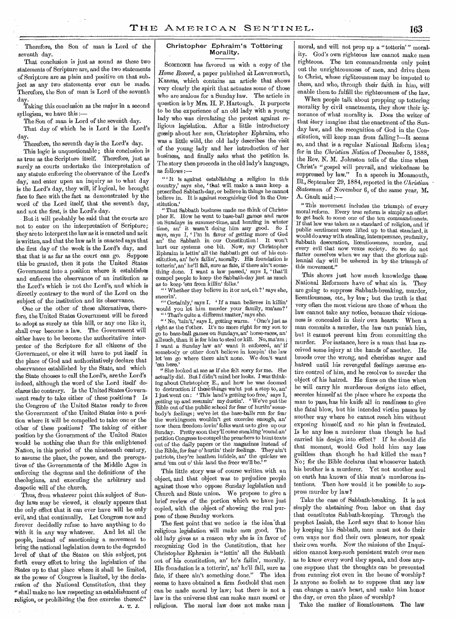Therefore, the Son of man is Lord of the seventh day.

That conclusion is just as sound as these two statements of Scripture are, and the two statements of Scripture are as plain and positive on that subject as any two statements ever can be made. Therefore, the Son of man is Lord of the seventh day.

Taking this conclusion as the major in a second syllogism, we have this :—

The Son of man is Lord of the seventh day.

That day of which he is Lord is the Lord's day.

Therefore, the seventh day is the Lord's day.

This logic is unquestionable; this conclusion is as true as the Scripture itself. Therefore, just as surely as courts undertake the interpretation of any statute enforcing the observance of the Lord's day, and enter upon an inquiry as to what day is the Lord's day, they will, if logical, be brought face to face with the fact as demonstrated by the word of the Lord itself, that the seventh day, and not the first, is the Lord's day.

But it will probably be said that the courts are not to enter on the interpretation of Scripture; they are to interpret the law as it is enacted and as it is written, mid that the law as it is enacted says that the first day of the week is the Lord's day, and that that is as far as the court can go. Suppose this be granted, then it puts the United States Government into a position where it establishes and enforces the observance of an institution as the Lord's which is not the Lord's, and which is directly contrary to the word of the Lord on the subject of the institution and its observance.

One or the other of these alternatives, therefore, the United States Government will be forced to adopt as surely as this bill, or any one like it, shall ever become a law. The Government will either have to be become the authoritative interpreter of the Scripture for all citizens of the Government, or else it will have to put itself in the place of God and authoritatively declare that observances established by the State, and which the State chooses to call the Lord's, are the Lord's indeed, although the word of the Lord itself declares the contrary. Is the United States Government ready to take either of these positions ? Is the Congress of the United States ready to force the Government of the United States into a position where it will be compelled to take one or the other of these positions? The taking of either position by the Government of the United States would be nothing else than for this enlightened Nation, in this period of the nineteenth century, to assume the place, the power, and the prerogatives of the Governments of the Middle Ages in enforcing the dogmas and the definitions of the theologians, and executing the arbitrary and despotic will of the church.

Thus, from whatever point this subject of Sunday laws may be viewed, it clearly appears that the only effect that it can ever have will be only evil, and that continually. Let Congress now and forever decidedly refuse to have anything to do with it in any way whatever. And let all the people, instead of sanctioning a movement to bring the national legislation down to the degraded level of that of the States on this subject, put forth every effort to bring the legislation of the States up to that place where it shall be limited, as the power of Congress is limited, by the declaration of the National Constitution, that they " shall make no law respecting an establishment of religion, or prohibiting the free exercise thereof." A. T. J.

### Christopher Ephraim's Tottering Morality.

SOMEONE has favored us with a copy of the *Home Record,* a paper published at Leavenworth, Kansas, which contains an article that shows very clearly the spirit that actuates some of those who are zealous for a Sunday law. The article in question is by Mrs. H. F. Hartough. It purports to be the experience of an old lady with a young lady who was circulating the protest against religious legislation. After a little introductory gossip about her son, Christopher Ephraim, who was a little wild, the old lady describes the visit of the young lady and her introduction of her business, and finally asks what the petition is. The story then proceeds in the old lady's language, as follows :—

 $\lq\lq$  it is against establishing a religion in this country,' says she, that will make a man keep a proscribed Sabbath-day, or believe in things he cannot believe in. It is against recognizing God in the Constitution.'

"That Sabbath business made me think of Christopher E. How he went to base-ball games and races on Sundays in summer-time, and hunting in winter time, an' it wasn't doing him any good. So I says, says I, ' I'm in favor of getting more of God an' the Sabbath in our Constitution ! It won't hurt our systems one bit. Now, my Christopher Ephraim is lettin' all the Sabbath get out of his constitution, an' he's failin', morally. His foundation is totterin', an' he'll fall, sure as fate, if there ain't something done. I want a law passed,' says I, that'll compel people to keep the Sabbath-day just as much as to keep 'em from killin' folks.'

" Whether they believe in it or not, eh ? ' says she, sneerin'.

" Certainly,' says I. ' If a man believes in killin' would you let him murder your family, ma'am?'

" That's quite a different matter,' says she.<br>" ' No. 'tain't,' says I, getting warm. ' One's just as " 'No, 'tain't,' says I, getting warm. right as the t'other. It's no more right for my son to go to base-ball games on Sundays, an' horse-races, an' all such, than it is for him to steal or kill. No, ma'am ; I want a Sunday law an' want it enforced, an' if somebody or other don't believe in keepin' the law let 'em go where there ain't none. We don't want 'em here.'

" She looked at me as if she felt sorry for me. She actually did. But I didn't mind her looks. I was thinking about Christopher E., and how he was doomed to destruction if these things wa'nt put a stop to, an' I just went on : This land's getting too free,' says I, getting up and resumin' my dustin'. We've put the Bible out of the public school for fear of hurtin' somebody's feelings ; we've let the base-balls run for fear the workingmen wouldn't get exercise enough, an' now them freedom-lovin' folks want us to give up our Sunday. Pretty soon they'll come sneaking 'round an' petition Congress to compel the preachers to hunt texts out of the daily papers or the magazines instead of the Bible, for fear o' hurtin' their feelings. They ain't patriots, they're heathen infidels, an' the quicker we send 'em out o' this land the freer we'll be.'

This little story was of course written with an object, and that object was to prejudice people against those who oppose Sunday legislation and Church and State union. We propose to give a brief review of the portion which we have just copied, with the object of showing the real purpose of these Sunday workers.

The first point that we notice is the idea that religious legislation will make men good. The old lady gives as a reason why she is in favor of recognizing God in the Constitution, that her Christopher Ephraim is "lettin' all the Sabbath out of his constitution, an' he's failin', morally. His foundation is a totterin', an' he'll fall, sure as fate, if there ain't something done." The idea seems to have obtained a firm foothold that men can be made moral by law; but there is not a law in the universe that can make man moral or religious. The moral law does not make man

moral, and will not prop up a "totterin'" morality. God's own righteous law cannot make men righteous. The ten commandments only point out the unrighteousness of men, and drive them to Christ, whose righteousness may be imputed to them, and who, through their faith in him, will enable them to fulfill the righteousness of the law.

When people talk about propping up tottering morality by civil enactments, they show their ignorance of what morality is. Does the writer of that story imagine that the enactment of the Sunday law, and the recognition of God in the Constitution, will keep man from falling ?—It seems so, and that is a regular National Reform idea; for in the *Christian Nation* of December 5, 1888, the Rev. N. M. Johnston tells of the time when Christ's "gospel will prevail, and wickedness be suppressed by law." In a speech in Monmouth, Ill., September 29, 1884, reported in the *Christian Statesman* of November 6, of the same year, M. A. Gault said :—

"This movement includes the triumph of every moral reform. Every true reform is simply an effort to get back to some one of the ten commandments. If that law was taken as a standard of religion, and if public sentiment were lifted up to that standard, it would do away with stealing, intemperance, profanity, Sabbath desecration, licentiousness, murder, and every evil that now vexes society. So we do not flatter ourselves when we say that the glorious millennial day will be ushered in by the triumph of this movement."

This shows just how much knowledge these National Reformers have of what sin is. They are going to suppress Sabbath-breaking, murder, licentiousness, etc., by law; but the truth is that very often the most vicious are those of whom the law cannot take any notice, because their viciousness is concealed in their own hearts. When a man commits a murder, the law can punish him, but it cannot prevent him from committing the murder. For instance, here is a man that has received some injury at the hands of another. He broods over the wrong, and cherishes anger and hatred until his revengeful feelings assume entire control of him, and he resolves to murder the object of his hatred. He fixes on the time when he will carry his murderous designs into effect, secretes himself at the place where he expects the man to pass, has his knife all in readiness to give the fatal blow, but his intended victim passes by another way where he cannot reach him without exposing himself, and so his plan is frustrated. Is lie any less a murderer than though he had carried his design into effect? If he should die that moment, would God hold him any less guiltless than though he had killed the man ? No; for the Bible declares that whosoever hateth his brother is a murderer. Yet not another soul on earth has known of this man's murderous intentions. Then how would it be possible to suppress murder by law?

Take the case of Sabbath-breaking. It is not simply the abstaining from labor on that day that constitutes Sabbath-keeping. Through the prophet Isaiah, the Lord says that to honor him by keeping his Sabbath, men must not do their own ways nor find their own pleasure, nor speak their own words. Now the minions of the Inquisition cannot keep such persistent watch over men as to know every word they speak, and does anyone suppose that the thoughts can be prevented from running riot even in the house of worship ? Is anyone so foolish as to suppose that any law can change a man's heart, and make him honor the day, or even the place of worship?

Take the matter of licentiousness. The law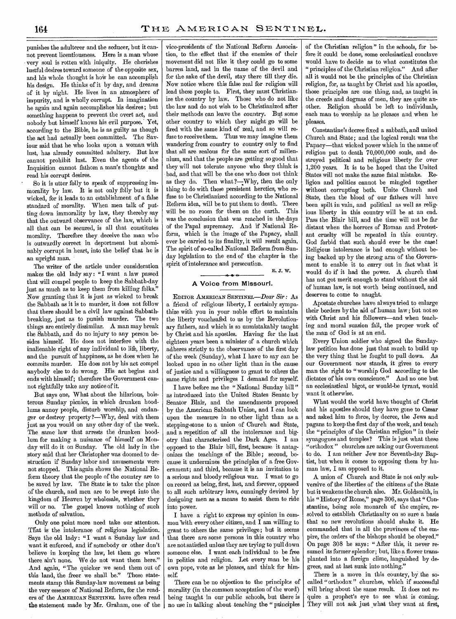punishes the adulterer and the seducer, but it cannot prevent licentiousness. Here is a man whose very soul is rotten with iniquity. He cherishes lustful desires toward someone of the opposite sex, and his whole thought is hoW he can accomplish his design. He thinks of it by day, and dreams of it by night. He lives in an atmosphere of impurity, and is wholly corrupt. In imagination he again and again accomplishes his desires ; but something happens to prevent the overt act, and nobody but himself knows his evil purpose.' Yet, according to the Bible, he is as guilty as though the act had actually been committed. The Saviour said that he who looks upon. a woman with lust, has already committed adultery. But law cannot prohibit lust. Even the agents of the Inquisition cannot fathom a man's thoughts and read his corrupt desires.

So it is utter folly to speak of suppressing immorality by law. It is not only folly but it is wicked, for it leads to an establishment of a false standard of morality. When men talk of putting down immorality by law, they thereby say that the outward observance of the law, which is all that can be secured, is all that constitutes morality. Therefore they deceive the man who is outwardly correct in deportment but abominably corrupt in heart, into the belief that he is an upright man.

The writer of the article under consideration makes the old lady say: "I want a law passed that will compel people to keep the Sabbath-day just as much as to keep them from killing folks." Now granting that it is just as wicked to break the Sabbath as it is to murder, it does not follow that there should be a civil law against Sabbathbreaking, just as to punish murder. The two things are entirely dissimilar. A man may break the Sabbath, and do no injury to any person besides himself. He does not interfere with the inalienable right of any individual to life, liberty, and the pursuit of happiness, as he does when he commits murder. He does not by his act compel anybody else to do wrong. His act begins and ends with himself; therefore the Government cannot rightfully take any notice of it.

But says one, What about the hilarious, boisterous Sunday picnics, in which drunken hoodlums annoy people, disturb worship, and endanger or destroy property ?—Why, deal with them just as you would on any other day of the week. The same law that arrests the drunken hoodlum for making a nuisance of himself on Monday will do it on Sunday. The old lady in the story said that her Christopher was doomed to destruction if Sunday labor and amusements were not stopped. This again shows the National Reform theory that the people of the country are to be saved by law. The State is to take the place of the church, and men are to be swept into the kingdom of Heaven by wholesale, whether they will or no. The gospel knows nothing of such methods of salvation.

Only one point more need take our attention. That is the intolerance of religious legislation. Says the old lady: "I want a Sunday law and want it enforced, and if somebody or other don't believe in keeping the law, let them go where there ain't none. We do not want them here." And again, "The quicker we send them out of this land, the freer we shall be." These statements stamp this Sunday-law movement as being the very essence of National Reform, for the readers of the AMERICAN SENTINEL have often read the statement made by Mr. Graham, one of the

vice-presidents of the National Reform Association, to the effect that if the enemies of their movement did not like it they could go to some barren land, and in the name of the devil and for the sake of the devil, stay there till they die. Now notice where this false zeal for religion will lead these people to. First, they must Christianize the country by law. Those who do not like the law and do not wish to be Christianized after their methods can leave the country. But some other country to which they might go will be fired with the same kind of zeal, and so will refuse to receive them. Thus we may imagine them wandering from country to country only to find that all are zealous for the same sort of millennium, and that the people are getting so good that they will not tolerate anyone who they think is bad, and that will be the one who does not think as they do. Then what ?- Why, then the only thing to do with these persistent heretics, who refuse to be Christianized according to the National Reform idea, will be to put them to death. There will be no room for them on the earth. This was the conclusion that was reached in the days of the Papal supremacy. And if National Reform, which is the image of the Papacy, shall ever be carried to its finality, it will result again. The spirit of so-called National Reform from Sunday legislation to the end of the chapter is the spirit of intolerance and persecution.

### A Voice from Missouri.

E. J. W.

EDITOR AMERICAN SENTINEL—Dear *Sir* : As a friend of religious liberty, I certainly sympathize with you in your noble effort to maintain the liberty vouchsafed to us by the Revolutionary fathers, and which is so unmistakably taught by Christ and his apostles. Having for the last eighteen years been a minister of a church which adheres strictly to the observance of the first day of the week (Sunday), what I have to say can be looked upon in no other light than in the cause of justice and a willingness to grant to others the same rights and privileges I demand for myself.

I have before me the "National Sunday bill" as introduced into the United States Senate by Senator Blair, and the amendments proposed by the American Sabbath Union, and I can look upon the measure in no other light than as a stepping-stone to a union of Church and State, and a repetition of all the intolerance and bigotry that characterized the Dark Ages. I am opposed to the Blair bill, first, because it antagonizes the teachings of the Bible; second, because it undermines the principles of a free Government; and third, because it is an invitation to a serious and bloody religious war. I want to go on record as being, first, last, and forever, opposed to all such arbitrary laws, cunningly devised by designing men as a means to assist them to ride into power.

I have a right to express my opinion in common with every other citizen, and I am willing to grant to others the same privilege; but it seems that there are some persons in this country who are not satisfied unless they are trying to pull down someone else. I want each individual to be free in politics and religion. Let every man be his own pope, vote as he pleases, and think for himself.

There can be no objection to the principles of morality (in the common acceptation of the word) being taught in our public schools, but there is no use in talking about teaching the "principles

of the Christian religion" in the schools, for before it could be done, some ecclesiastical conclave would have to decide as to what constitutes the " principles of the Christian religion." And after all it would not be the principles of the Christian religion, for, as taught by Christ and his apostles, those principles are one thing, and, as taught in the creeds and dogmas of men, they are quite another. Religion should be left to individuals, each man to worship as he pleases and when he pleases.

Constantine's decree fixed a sabbath, and united Church and State; and the logical result was the Papacy—that wicked power which in the name of religion put to death 70,000,000 souls, and destroyed political and religious liberty for over 1,200 years. It is to be hoped that the United States will not make the same fatal mistake. Religion and politics cannot be mingled together without corrupting both. Unite Church and State, then the blood of our fathers will have been spilt in vain, and political as well as religious liberty in this country will be at an end. Pass the Blair bill, and the time will not be far distant when the horrors of Roman and Protestant cruelty will be repeated in this country. God forbid that such should ever be the case! Religious intolerance is bad enough without being backed up by the strong arm of the Government to enable it to carry out in fact what it would do if it had the power. A church that has not got merit enough to stand without the aid of human law, is not worth being continued, and deserves to come to naught.

Apostate churches have always tried to enlarge their borders by the aid of human law; but not so with Christ and his followers—and when teaching and moral suasion fail, the proper work of the man of God is at an end.

Every Union soldier who signed the Sundaylaw petition has done just that much to build up the very thing that he fought to pull down. As our Government now stands, it gives to every man the right to " worship God according to the dictates of his own conscience." And no one but an ecclesiastical bigot, or would-be tyrant, would want it otherwise.

What would the world have thought of Christ and his apostles should they have gone to Caesar and asked him to force, by decree, the Jews and pagans to keep the first day of the week, and teach the "principles of the Christian religion" in their synagogues and temples? This is just what these "orthodox " churches are asking our Government to do. I am neither Jew nor Seventh-day Baptist, but when it comes to opposing them by human law, I am opposed to it.

A union of Church and State is not only subversive of the liberties of the citizens of the State but it weakens the church also. Mr. Goldsmith, in his " History of Rome," page 306, says that " Constantine, being sole monarch of the empire, resolved to establish Christianity on so sure a basis that no new revolutions should shake it. He commanded that in all the provinces of the empire, the orders of the bishops should be obeyed." On page 308 he says: "After this, it never resumed its former splendor; but, like a flower transplanted into a foreign clime, languished by degrees, and at last sunk into nothing."

There is a move in this country, by the socalled "orthodox " churches, which if successful will bring about the same result. It does not require a prophet's eye to see what is coming. They will not ask just what they want at first,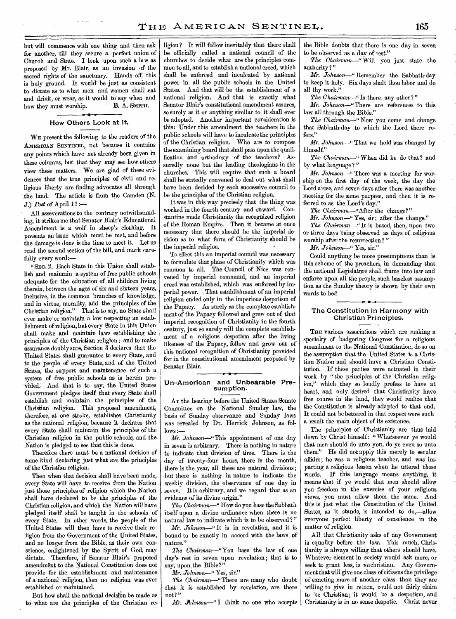but will commence with one thing and then ask for another, till they secure a perfect union of Church and State. I look upon such a law as proposed by Mr. Blair, as an invasion of the sacred rights of the sanctuary. Hands off, this is holy ground. It would be just as consistent to dictate as to what men and women shall eat and drink, or wear, as it would to say when and<br>how they must worship. B. A. SMITH. how they must worship.

### **How Others Look at It.**

WE present the following to the readers of the AMERICAN SENTINEL, not because it contains any points which have not already been given in these columns, but that they may see how others view these matters. We are glad of these evidences that the true principles of civil and religious liberty are finding advocates all through the land. The article is from the Camden (N. **J.)** *Post* of April 11:—

All asseverations to the contrary notwithstanding, it strikes me that Senator Blair's Educational Amendment is a wolf in sheep's clothing. It presents an issue which must be met, and before the damage is done is the time to meet it. Let us read the second section of the bill, and mark carefully every word:—

"SEc. 2. Each State in this Union shall establish and maintain a system of free public schools adequate for the education of all children living therein, between the ages of six and sixteen years, inclusive, in the common branches of knowledge, and in virtue, morality, and the principles of the Christian religion." That is to say, no State shall ever make or maintain a law respecting an establishment of religion, but every State in this Union shall make and maintain laws establishing the principles of the Christian religion ; and to make assurance doubly sure, Section 3 declares that the United States shall guarantee to every State, and to the people of every State, and of the United States, the support and maintenance of such a system of free public schools as is herein provided. And that is to say, the United States Government pledges itself that every State shall establish and maintain the principles of the Christian religion. This proposed amendment, therefore, at one stroke, establishes Christianity as the national religion, because **it** declares that every State shall maintain the principles of the Christian religion in the public schools, and the Nation is pledged to see that this is done.

Therefore there must be a national decision of some kind declaring just what are the principles of the Christian religion.

Then when that decision shall have been made, every State will have to receive from the Nation just those principles of religion which the Nation shall have declared to be the principles of the Christian religion, and which the Nation will have pledged itself shall be taught in the- schools of every State. In other words, the people of the United States will then have to receive their religion from the Government of the United States, and no longer from the Bible, as their own conscience, enlightened by the Spirit of God, may dictate. Therefore, if Senator Blair's proposed amendment to the National Constitution does not provide for the establishment and maintenance of a national religion, then no religion was ever established or maintained.

But how shall the national decision be made as **to** what are the principles of the Christian re-

ligion? It will follow inevitably that there shall be officially called a national council of the churches to decide what are the principles common to all, and to establish a national creed, which shall be enforced and inculcated by national power in all the public schools in the United States. And that will be the establishment of a national religion. And that is exactly what Senator Blair's constitutional amendment assures, so surely as it or anything similar to it shall ever be adopted. Another important consideration is this: Under this amendment the teachers in the public schools will have to inculcate the principles of the Christian religion. Who are to compose the examining board that shall pass upon the qualification and orthodoxy of the teachers? Assuredly none but the leading theologians in the churches. This will require that such a board shall be statedly convened to deal out what shall have been decided by each successive council to be the principles of the Christian religion.

It was in this way precisely that the thing was worked in the fourth century and onward. Constantine made Christianity the recognized religion of the Roman Empire. Then it became at once necessary that there should be the imperial decision as to what form of Christianity should be the imperial religion.

To effect this an imperial council was necessary to formulate that phase of Christianity which was common to all. The Council of Nice was convened by imperial command, and an imperial creed was established, which was enforced by imperial power. That establishment of an imperial religion ended only in the imperious despotism of the Papacy. As surely as the complete establishment of the Papacy followed and grew out of that imperial recognition of Christianity in the fourth century, just so surely will the complete establishment of a religious despotism after the living likeness of the Papacy, follow and grow out of this national recognition of Christianity provided for in the constitutional amendment proposed by Senator Blair.

### **Un-American and Unbearable Presumption.**

AT the hearing before the United States Senate Committee on the National Sunday law, the basis of Sunday observance and Sunday laws was revealed by Dr. Herrick Johnson, as follows :-

*Mr. Johnson*—"This appointment of one day in seven is arbitrary. There is nothing in nature to indicate that division of time. There is the day of twenty-four hours, there is the month, there is the year, all these are natural divisions ; but there is nothing in nature to indicate the weekly division, the observance of one day in seven. It is arbitrary, and we regard that as an evidence of its divine origin."

*The Chairman—"* How do you base the Sabbath itself upon a divine ordinance when there is no natural law to indicate which is to be observed ? "

*Mr. Johnson—"It* is in revelation, and it is bound to be exactly in accord with the laws **of**  nature."

*The Chairman—"You* base the law of one day's rest in seven upon revelation ; that is to say, upon the Bible?"

*Mr. Johnson—"* Yes, sir."

*The Chairman—"There* are many who doubt that **it** is established by revelation, are there not?"

*Mr. Johnson*-" I think no one who accepts

the Bible doubts that there is one day in seven to be observed as a day of rest."

*The Chairman—"* Will you just state the authority?"

*Mr. Johnson—"* Remember the Sabbath-day to keep it holy. Six days shalt thou labor and do all thy work."

*The Chairman—"* Is there any other ?"

*Mr. Johnson—"*There are references to this law all through the Bible."

*The Chairman—"Now* you come and change that Sabbath-day to which the Lord there refers."

*Mr. Johnson*—" That we hold was changed by himself."

*The Chairman—"* When did he do that? and by what language?"

*Mr. Johnson—"* There was a meeting for worship on the first day of the week, the day the Lord arose, and seven days after there was another meeting for the same purpose, and then it is **re**ferred to as the Lord's day."

*The* Chairman—"After the change?"

*Mr. Johnson —"* Yes, sir; after the change." *The Chairman—"* It is based, then, upon two or three days being observed as days of religious worship after the resurrection? "

*Mr. Johnson—" Yes,* sir."

Could anything be more presumptuous than is this scheme of the preachers, in demanding that the national Legislature shall frame into law and enforce upon all the people, such baseless assumption as the Sunday theory is shown by their own words to be?

### **The- Constitution in Harmony with Christian Principles.**

THE various associations which are making a specialty of badgering Congress for a religious amendment to the National Constitution, do so on the assumption that the United States is a Christian Nation and should have a Christian Constitution. If these parties were actuated in their work by " the principles of the Christian religion," which they so loudly profess to have at heart, and only desired that Christianity have free course in the land, they would realize that the Constitution is already adapted to that end. It could not be bettered in that respect were such a result the main object of its existence.

The principles of Christianity are thus laid down by Christ himself: "Whatsoever ye would that men should do unto you, do ye even so unto them." He did not apply this merely to secular affairs; he was a religious teacher, and was imparting a religious lesson when he uttered those words. If this language means anything, it means that if ye would that men should allow you freedom in the exercise of your religious views, you must allow them the same. And this is just what the Constitution of the United States, as it stands, is intended to do,—allow everyone perfect liberty of conscience in the matter of religion.

All that Christianity asks of any Government is equality before the law. This much, Christianity is always willing that others should have. Whatever element in society would ask more, or seek to grant less, is unchristian. Any Government that will give one class of citizens the privilege of exacting more of another class than they are willing to give in return, could not fairly claim to be Christian ; it would be a despotism, and Christianity is in no sense despotic. Christ never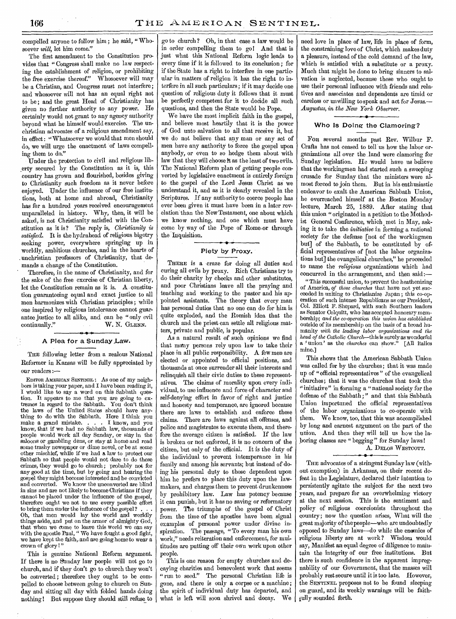compelled anyone to follow him ; he said, "Whosoever *will,* let him come."

The first amendment to the Constitution provides that "Congress shall make no law respecting the establishment of religion, or prohibiting<br>the free exercise thereof." Whosoever will may the free exercise thereof." be a Christian, and Congress must not interfere; and whosoever will not has an equal right not to be; and the great Head of Christianity has given no further authority to any power. He certainly would not grant to any agency authority beyond what he himself would exercise. The unchristian advocates of a religious amendment say, in effect: "Whatsoever we would that men should do, we will urge the enactment of laws compelling them to do."

Under the protection to civil and religious liberty secured by the Constitution as it is, this country has grown and flourished, besides giving to Christianity such freedom as it never before enjoyed. Under the influence of our free institutions, both at home and abroad, Christianity has for a hundred years received encouragement unparalleled in history. Why, then, it will be asked, is not Christianity satisfied with the Constitution as it is ? The reply is, *Christianity is satisfied.* It is the hydrahead of religious bigotry seeking power, everywhere springing up in worldly, ambitious churches, and in the hearts of . unchristian professors of Christianity, that demands a change of the Constitution.

Therefore, in the name of Christianity, and for the sake of the free exercise of Christian liberty, let the Constitution remain as it is. A constitution guaranteeing equal and exact justice to all men harmonizes with Christian principles ; while one inspired by religious intolerance cannot guarantee justice to all alike, and can be "only evil continually." W. N. GLENN. **0 I-**

### A Plea for a Sunday Law.

THE following letter from a zealous National Reformer in Kansas will be fully appreciated by our readers

EDITOR AMERICAN SENTINEL : As one of my neighbors is taking your paper, and I have been reading it, I would like to say a word on this Sabbath question. It appears to me that you are going to extremes in regard to the Sabbath. You don't think the laws of the United States should have anything to do with the Sabbath. Here I think you make a grand mistake. . . . I know, and you make a grand mistake.  $\ldots$ know, that if we had no Sabbath law, thousands of people would work all day Sunday, or stay in the saloons or gambling dens, or stay at home and read some trashy newspaper or dime novel, or be at some other mischief, while if we had a law to protect our Sabbath so that people would not dare to do these crimes, they would go to church ; probably not for any good at the time, but by going and hearing the gospel they might become interested and be convicted and converted. We know the unconverted are blind in sins and are not likely to become Christians if they cannot be placed under the influence of the gospel, therefore ought we not to use every possible effort to bring them under the influence of the gospel ? . Oh, that men would lay the world and worldly things aside, and put on the armor of almighty God, that when we come to leave this world we can say with the apostle Paul, " We have fought a good fight, we have kept the faith, and are going home to wear a crown of glory!"

This is genuine National Reform argument. If there is no Sunday law people will not go to church, and if they don't go to church they won't be converted ; therefore they ought to be compelled to choose between going to church on Sunday and sitting all day with folded hands doing nothing ! But suppose they should still refuse to

go to church ? Oh, in that case a law would be in order compelling them to go! And that is just what this National Reform logic leads to every time if it is followed to its conclusion ; for if the State has a right to interfere in one particular in matters of religion it has the right to interfere in all such particulars; if it may decide one question of religious duty it follows that it must be perfectly competent for it to decide all such questions, and then the State would be Pope.

We have the most implicit faith in the gospel, and believe most heartily that it is the power of God unto salvation to all that receive it, but we do not believe that any man or any set of men have any authority to force the gospel upon anybody, or even to so hedge them about with law that they will choose it as the least of two evils. The National Reform plan of getting people converted by legislative enactment is entirely foreign to the gospel of the Lord Jesus Christ as we understand it, and as it is clearly revealed in the Scriptures. If any authority to coerce people has ever been given it must have been in a later revelation than the New Testament, one about which we know nothing, and one which must have come by way of the Pope of Rome-or through the Inquisition.

### Piety by Proxy.

THERE is a craze for doing all duties and curing all evils by proxy. Rich Christians try to do their charity by checks and other substitutes, and poor Christians leave all the praying and teaching and working to the pastor and his appointed assistants. The theory that every man has personal duties that no one can do for him is quite exploded, and the Romish idea that the church and the priest can settle all religious matters, private and public, is popular.

As a natural result of such opinions we find that many persons rely upon law to take their place in all public responsibility. A few men are elected or appointed to official positions, and thousands at once surrender all their interests and relinquish all their civic duties to these representatives. The claims of morality upon every individual, to use influence and force of character and self-denying effort in favor of right and justice and honesty and temperance, are ignored because there are laws to establish and enforce these claims. There are laws against all offenses, and police and magistrates to execute them, and therefore the average citizen is satisfied. If the law is broken or not enforced, it is no concern of the citizen, but only of the official. It is the duty of the individual to prevent intemperance in his family and among his servants; but instead of doing his personal duty to those dependent upon him he prefers to place this duty upon the lawmakers, and charges them to prevent drunkenness by prohibitory law. Law has potency because it can punish, but it has no saving or reformatory power. The triumphs of the gospel of Christ from the time of the apostles have been signal examples of personal power under divine inspiration. The passage, "To every man his own work," needs reiteration and enforcement, for multitudes are putting off their own work upon other people.

This is one reason for empty churches and decaying charities and benevolent work that seems "run to seed." The personal Christian life is gone, and there is only a corpse or a machine; the spirit of individual duty has departed, and what is left will soon shrivel and decay. We need love in place of law, life in place of form, the constraining love of Christ, which makes duty a pleasure, instead of the cold demand of the law, which is satisfied with a substitute or a proxy. Much that might be done to bring sinners to salvation is neglected, because those who ought to use their personal influence with friends and relatives and associates and dependents are timid or careless or unwilling to speak and act for Jesus.— *Augustus, in the New York Observer.* 

### Who Is Doing the Clamoring?

FOR several months past Rev. Wilbur F. Crafts has not ceased to tell us how the labor organizations all over the land were clamoring for Sunday legislation. He would have us believe that the workingmen had started such a sweeping crusade for Sunday that the ministers were almost forced to join them. But in his enthusiastic endeavor to exalt the American Sabbath Union, he overreached himself at the Boston Monday lecture, March 25, 1889. After stating that this union " originated in a petition to the Methodist General Conference, which met in May, asking it to take the *initiative* in forming a national society for the defense [not of the workingmen but] of the Sabbath, to be constituted by official representatives of [not the labor organizations but] the evangelical churches," he proceeded to name the *religious* organizations which had concurred in the arrangement, and then said:—

" This successful union, to prevent the heathenizing of America, *of those churches* that have not yet succeeded in uniting to Christianize Japan ; this co-operation of such intense Republicans as our President, Col. Elliott F. Shepard, with such Southern leaders as Senator Colquitt, who has accepted honorary membership; *and the co-operation this union has established*  outside of its membership on the basis of a broad humanity *with the leading labor organizations and the head of the Catholic Church—this* is surely as wonderful a ' union ' as the *churches* can show." [All italics mine.]

This shows that the American Sabbath Union was called for by the churches; that it was made up of "official representatives " of the evangelical churches; that it was the churches that took the "initiative" in forming a "national society for the defense of the Sabbath ; " and that this Sabbath Union importuned the official representatives of the labor organizations to co-operate with them. We know, too, that this was accomplished by long and earnest argument on the part of the union. And then they will tell us how the laboring classes are "begging" for Sunday laws!

## A. DELOS WESTCOTT.

THE advocates of a stringent Sunday law (without exemption) in Arkansas, on their recent defeat in the Legislature, declared their intention to persistently agitate the subject for the next two years, and prepare for an overwhelming victory at the next session. This is the sentiment and policy of religious coercionists throughout the country; now the question arises, What will the great majority of the people—who are undoubtedly opposed to Sunday laws—do while the enemies of religious liberty are at work ? Wisdom would say, Manifest an equal degree of diligence to maintain the integrity of our free institutions. But there is such confidence in the apparent impregnability of our Government, that the masses will probably rest secure until it is too late. However, the SENTINEL proposes not to be found sleeping on guard, and its weekly warnings will be faithfully sounded forth.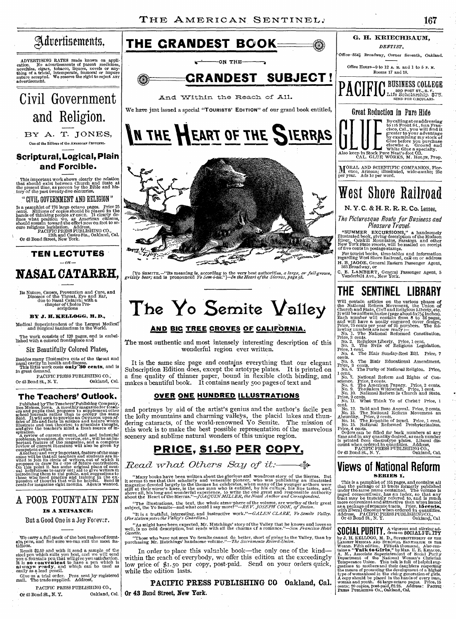

# **The Yo Semite Valley**

## **AND BIC TREE CROVES OF CALIFORNIA.**

The most authentic and most intensely interesting description of this wonderful region ever written.

It is the same size page and contains everything that our elegant Subscription Edition does, except the artotype plates. It is printed on a fine quality of thinner paper, bound in flexible cloth binding, and makes a beautiful book. It contains nearly 500 pages of text and

### **OVER ONE HUNDRED ILLUSTRATIONS**

and portrays by aid of the artist's genius and the author's facile pen the lofty mountains and charming valleys, the placid lakes and thundering cataracts, of the world-renowned Yo Semite. The mission of this work is to make the best possible representation of the marvelous scenery and sublime natural wonders of this unique region.

## **PRICE, \$1.50 PER COPY**.

## *Read what Others Say of it:*

"Many books have been written about the glorious and wondrous story of the Sierras. But<br>it seems to me that this scholarly and venerable pioneer, who was publishing an illustrated<br>magazine devoted largely to the themes he

"The illustrations, the text, the whole atmo-phere of the volume, are worthy of their great subject, the Yo Semite-and what could I say more? *"-REV. JOSEPH COOK, of Boston.*  "It is a truthful, interesting, and instructive *work."-GALEN CLARK, PO Semite Valley. (For sixteenyears the Valley's Guardian.)* 

"As might have been expected, Mr. Hutchings' story of the Valley that he knows and loves so well, is no cold description, but reads with all the charms cf a romance."-San *Francisco Hotel Gazette.* 

"Those who have not seen Yo Semite cannot do better, short of going to the Valley, than by purchasing Mr. Hutchings' handsome volume."-The *Sacramento Record-Union.* 

In order to place this valuable book—the only one of the kind within the reach of everybody, we offer this edition at the exceedingly low price of \$1.50 per copy, post-paid. Send on your orders quick, while the edition lasts.

**PACIFIC PRESS PUBLISHING CO** Oakland, Cal. Oakland, Cal. | Or 43 Bond Street, New York.

**THE SENTINEL LIBRARY** 

Will contain articles on the various phases of<br>the National Reform Movement, the Union of<br>Church and State, Civil and Religious Liberty etc.<br>It will be<br>uniforminaize (page about  $5x7/\frac{1}{2}$  inches).<br>Each number will cont

No. 7. National Reform and Rights of Conscience. Price, 2 cents.<br>No. 8. The American Papacy. Price, 2 cents.<br>No. 9. The Salem Witchcraft. Price, 1 cent.<br>No. 9. The Salem Witchcraft. Price, 1 cent.<br>No. 10. National Reform I

Price, 2 cents. No. 11. What Think Ye of Christ? Price, 1

cent. No. 12. Bold and Base Avowal. Price, 2 cents.<br>No. 13. The National Reform Movement an<br>Absurdity. Price, 2 cents.<br>No. 14. The Republic of Israel. Price, 1 cent.<br>No. 15. National Reformed Presbyterianism.

Price, 4 cents.<br>
Orders can be filled for back numbers at any<br>
orders can be filled for back numbers at any<br>
time and in any quantity desired, as each number<br>
is printed from electrotype plates. Address,<br>
count when orderd

## **Views of National Reform SERIES** 1.

This is a pamphlet of 151 pages, and contains all<br>that the package of 13 tracts formerly published<br>under the same name contained. The volume is<br>paged consecutively, has an index, so that any<br>fract may be instantly referred

**SOCIAL PURITY**, A vigorous and stirring ad-**SUGIAL FURIIII**, dress on SOCIAL FULTTY<br>by J. H. KELLOGG, M. D., SUPERINTENDENT OF THE LAROEST MEDICAL SANTARINUM IN THE MAROET MEANS TO THE UNION THAT ASSOCIAL SAND COMPARISM LARO COMPARISM TO THE THEORY TO THE THEORY T **SOCIAL PURITY** 

A POOR FOUNTAIN PEN

### **IS A NUISANCE;**

**Its Nature, Causes, Prevention and Cure, and Diseases of the Throat, Eye and Ear, due to Nasal Catarrh; with a chapter of Choice Pre-scriptions** 

**BY J. ILIKELLOGG, B. D., Medical Superintendent of the Largest Medical and Surgical Sanitarium in the World. The work consists of 120 pages, and is embel-lished with a colored frontispiece and**  Six Beautifully Colored Plates,

Besides many illustrative cuts of the throat and masal cavity in health and disease.<br>**This little work costs <b>only 30 cents**, and is<br>in great demand.

**The Teachers' Outlook.** 

Published by The Teachers' Publishing Company, Des Molnes, Iowa, A monthly magazine for toashered and pupils that proposes to supplement other field. It will seek to provide an Ournook upon affection field. It will seek to

Or 43 Bond St., N.Y.

PACIFIC PRESS PUBLISHING CO., a St., N. Y. **Qakland, Cal.** 

But a Good One is a Joy Forever.

'We carry **a full stock of the best makesof fount-ain pens, and feel sure we can** suit the most fas-tidious.

Remit \$2.50 and with it send a sample of the steel pen which suits you best, and we will send you a found in that will give you satisfaction. It is **so convenient** to have a pen which is a two **x** pen dy, and which can be

Give us **a** trial order. Pens sentby' registered mail. The trade **supplied. AddresS,** 

**PACIFIC PRESS PUBLISHING CO.,** 

Or 43 **Bond St., N. Y. Oakland, Cal.** 

nature accepted.<br>advertisement.